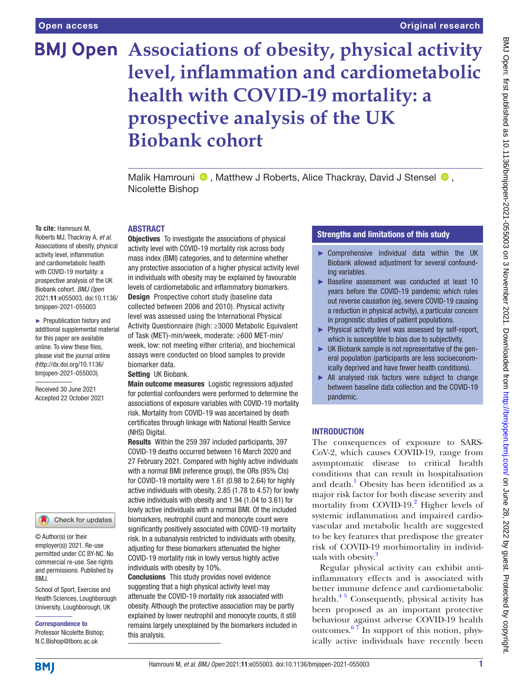# **BMJ Open** Associations of obesity, physical activity **level, inflammation and cardiometabolic health with COVID-19 mortality: a prospective analysis of the UK Biobank cohort**

Malik Hamrouni  $\bullet$ , Matthew J Roberts, Alice Thackray, David J Stensel  $\bullet$ . Nicolette Bishop

#### **To cite:** Hamrouni M,

Roberts MJ, Thackray A, *et al*. Associations of obesity, physical activity level, inflammation and cardiometabolic health with COVID-19 mortality: a prospective analysis of the UK Biobank cohort. *BMJ Open* 2021;11:e055003. doi:10.1136/ bmjopen-2021-055003

► Prepublication history and additional supplemental material for this paper are available online. To view these files, please visit the journal online [\(http://dx.doi.org/10.1136/](http://dx.doi.org/10.1136/bmjopen-2021-055003) [bmjopen-2021-055003](http://dx.doi.org/10.1136/bmjopen-2021-055003)).

Received 30 June 2021 Accepted 22 October 2021



© Author(s) (or their employer(s)) 2021. Re-use permitted under CC BY-NC. No commercial re-use. See rights and permissions. Published by BMJ.

School of Sport, Exercise and Health Sciences, Loughborough University, Loughborough, UK

Correspondence to Professor Nicolette Bishop; N.C.Bishop@lboro.ac.uk

# ABSTRACT

Objectives To investigate the associations of physical activity level with COVID-19 mortality risk across body mass index (BMI) categories, and to determine whether any protective association of a higher physical activity level in individuals with obesity may be explained by favourable levels of cardiometabolic and inflammatory biomarkers. Design Prospective cohort study (baseline data collected between 2006 and 2010). Physical activity level was assessed using the International Physical Activity Questionnaire (high: ≥3000 Metabolic Equivalent of Task (MET)-min/week, moderate: ≥600 MET-min/ week, low: not meeting either criteria), and biochemical assays were conducted on blood samples to provide biomarker data.

#### Setting UK Biobank.

Main outcome measures Logistic regressions adjusted for potential confounders were performed to determine the associations of exposure variables with COVID-19 mortality risk. Mortality from COVID-19 was ascertained by death certificates through linkage with National Health Service (NHS) Digital.

Results Within the 259 397 included participants, 397 COVID-19 deaths occurred between 16 March 2020 and 27 February 2021. Compared with highly active individuals with a normal BMI (reference group), the ORs (95% CIs) for COVID-19 mortality were 1.61 (0.98 to 2.64) for highly active individuals with obesity, 2.85 (1.78 to 4.57) for lowly active individuals with obesity and 1.94 (1.04 to 3.61) for lowly active individuals with a normal BMI. Of the included biomarkers, neutrophil count and monocyte count were significantly positively associated with COVID-19 mortality risk. In a subanalysis restricted to individuals with obesity, adjusting for these biomarkers attenuated the higher COVID-19 mortality risk in lowly versus highly active individuals with obesity by 10%.

Conclusions This study provides novel evidence suggesting that a high physical activity level may attenuate the COVID-19 mortality risk associated with obesity. Although the protective association may be partly explained by lower neutrophil and monocyte counts, it still remains largely unexplained by the biomarkers included in this analysis.

## Strengths and limitations of this study

- ► Comprehensive individual data within the UK Biobank allowed adjustment for several confounding variables.
- ► Baseline assessment was conducted at least 10 years before the COVID-19 pandemic which rules out reverse causation (eg, severe COVID-19 causing a reduction in physical activity), a particular concern in prognostic studies of patient populations.
- ► Physical activity level was assessed by self-report, which is susceptible to bias due to subjectivity.
- ► UK Biobank sample is not representative of the general population (participants are less socioeconomically deprived and have fewer health conditions).
- ► All analysed risk factors were subject to change between baseline data collection and the COVID-19 pandemic.

#### **INTRODUCTION**

The consequences of exposure to SARS-CoV-2, which causes COVID-19, range from asymptomatic disease to critical health conditions that can result in hospitalisation and death.<sup>[1](#page-7-0)</sup> Obesity has been identified as a major risk factor for both disease severity and mortality from COVID-19.<sup>[2](#page-7-1)</sup> Higher levels of systemic inflammation and impaired cardiovascular and metabolic health are suggested to be key features that predispose the greater risk of COVID-19 morbimortality in individ-uals with obesity.<sup>[3](#page-7-2)</sup>

Regular physical activity can exhibit antiinflammatory effects and is associated with better immune defence and cardiometabolic health. $4<sup>5</sup>$  Consequently, physical activity has been proposed as an important protective behaviour against adverse COVID-19 health outcomes.<sup>67</sup> In support of this notion, physically active individuals have recently been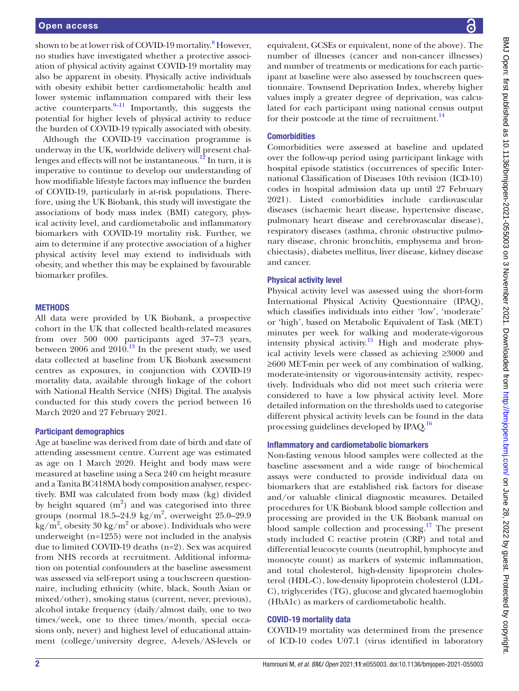shown to be at lower risk of COVID-19 mortality.<sup>[8](#page-7-5)</sup> However, no studies have investigated whether a protective association of physical activity against COVID-19 mortality may also be apparent in obesity. Physically active individuals with obesity exhibit better cardiometabolic health and lower systemic inflammation compared with their less active counterparts. $9-11$  Importantly, this suggests the potential for higher levels of physical activity to reduce the burden of COVID-19 typically associated with obesity.

Although the COVID-19 vaccination programme is underway in the UK, worldwide delivery will present challenges and effects will not be instantaneous.<sup>12</sup> In turn, it is imperative to continue to develop our understanding of how modifiable lifestyle factors may influence the burden of COVID-19, particularly in at-risk populations. Therefore, using the UK Biobank, this study will investigate the associations of body mass index (BMI) category, physical activity level, and cardiometabolic and inflammatory biomarkers with COVID-19 mortality risk. Further, we aim to determine if any protective association of a higher physical activity level may extend to individuals with obesity, and whether this may be explained by favourable biomarker profiles.

#### **METHODS**

All data were provided by UK Biobank, a prospective cohort in the UK that collected health-related measures from over 500 000 participants aged 37–73 years, between  $2006$  and  $2010.<sup>13</sup>$  In the present study, we used data collected at baseline from UK Biobank assessment centres as exposures, in conjunction with COVID-19 mortality data, available through linkage of the cohort with National Health Service (NHS) Digital. The analysis conducted for this study covers the period between 16 March 2020 and 27 February 2021.

#### Participant demographics

Age at baseline was derived from date of birth and date of attending assessment centre. Current age was estimated as age on 1 March 2020. Height and body mass were measured at baseline using a Seca 240 cm height measure and a Tanita BC418MA body composition analyser, respectively. BMI was calculated from body mass (kg) divided by height squared  $(m^2)$  and was categorised into three groups (normal  $18.5-24.9$  kg/m<sup>2</sup>, overweight  $25.0-29.9$  $\text{kg/m}^2$ , obesity 30 kg/m<sup>2</sup> or above). Individuals who were underweight (n=1255) were not included in the analysis due to limited COVID-19 deaths (n=2). Sex was acquired from NHS records at recruitment. Additional information on potential confounders at the baseline assessment was assessed via self-report using a touchscreen questionnaire, including ethnicity (white, black, South Asian or mixed/other), smoking status (current, never, previous), alcohol intake frequency (daily/almost daily, one to two times/week, one to three times/month, special occasions only, never) and highest level of educational attainment (college/university degree, A-levels/AS-levels or

equivalent, GCSEs or equivalent, none of the above). The number of illnesses (cancer and non-cancer illnesses) and number of treatments or medications for each participant at baseline were also assessed by touchscreen questionnaire. Townsend Deprivation Index, whereby higher values imply a greater degree of deprivation, was calculated for each participant using national census output for their postcode at the time of recruitment. $^{14}$ 

#### **Comorbidities**

Comorbidities were assessed at baseline and updated over the follow-up period using participant linkage with hospital episode statistics (occurrences of specific International Classification of Diseases 10th revision (ICD-10) codes in hospital admission data up until 27 February 2021). Listed comorbidities include cardiovascular diseases (ischaemic heart disease, hypertensive disease, pulmonary heart disease and cerebrovascular disease), respiratory diseases (asthma, chronic obstructive pulmonary disease, chronic bronchitis, emphysema and bronchiectasis), diabetes mellitus, liver disease, kidney disease and cancer.

#### Physical activity level

Physical activity level was assessed using the short-form International Physical Activity Questionnaire (IPAQ), which classifies individuals into either 'low', 'moderate' or 'high', based on Metabolic Equivalent of Task (MET) minutes per week for walking and moderate-vigorous intensity physical activity.<sup>15</sup> High and moderate physical activity levels were classed as achieving ≥3000 and ≥600 MET-min per week of any combination of walking, moderate-intensity or vigorous-intensity activity, respectively. Individuals who did not meet such criteria were considered to have a low physical activity level. More detailed information on the thresholds used to categorise different physical activity levels can be found in the data processing guidelines developed by IPAQ.<sup>[16](#page-7-11)</sup>

#### Inflammatory and cardiometabolic biomarkers

Non-fasting venous blood samples were collected at the baseline assessment and a wide range of biochemical assays were conducted to provide individual data on biomarkers that are established risk factors for disease and/or valuable clinical diagnostic measures. Detailed procedures for UK Biobank blood sample collection and processing are provided in the UK Biobank manual on blood sample collection and processing.<sup>17</sup> The present study included C reactive protein (CRP) and total and differential leucocyte counts (neutrophil, lymphocyte and monocyte count) as markers of systemic inflammation, and total cholesterol, high-density lipoprotein cholesterol (HDL-C), low-density lipoprotein cholesterol (LDL-C), triglycerides (TG), glucose and glycated haemoglobin (HbA1c) as markers of cardiometabolic health.

#### COVID-19 mortality data

COVID-19 mortality was determined from the presence of ICD-10 codes U07.1 (virus identified in laboratory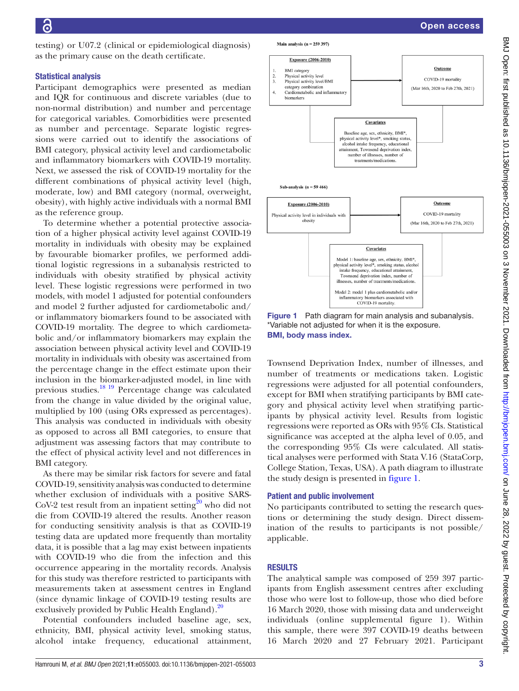testing) or U07.2 (clinical or epidemiological diagnosis) as the primary cause on the death certificate.

# Statistical analysis

Participant demographics were presented as median and IQR for continuous and discrete variables (due to non-normal distribution) and number and percentage for categorical variables. Comorbidities were presented as number and percentage. Separate logistic regressions were carried out to identify the associations of BMI category, physical activity level and cardiometabolic and inflammatory biomarkers with COVID-19 mortality. Next, we assessed the risk of COVID-19 mortality for the different combinations of physical activity level (high, moderate, low) and BMI category (normal, overweight, obesity), with highly active individuals with a normal BMI as the reference group.

To determine whether a potential protective association of a higher physical activity level against COVID-19 mortality in individuals with obesity may be explained by favourable biomarker profiles, we performed additional logistic regressions in a subanalysis restricted to individuals with obesity stratified by physical activity level. These logistic regressions were performed in two models, with model 1 adjusted for potential confounders and model 2 further adjusted for cardiometabolic and/ or inflammatory biomarkers found to be associated with COVID-19 mortality. The degree to which cardiometabolic and/or inflammatory biomarkers may explain the association between physical activity level and COVID-19 mortality in individuals with obesity was ascertained from the percentage change in the effect estimate upon their inclusion in the biomarker-adjusted model, in line with previous studies[.18 19](#page-7-13) Percentage change was calculated from the change in value divided by the original value, multiplied by 100 (using ORs expressed as percentages). This analysis was conducted in individuals with obesity as opposed to across all BMI categories, to ensure that adjustment was assessing factors that may contribute to the effect of physical activity level and not differences in BMI category.

As there may be similar risk factors for severe and fatal COVID-19, sensitivity analysis was conducted to determine whether exclusion of individuals with a positive SARS- $CoV-2$  test result from an inpatient setting<sup>20</sup> who did not die from COVID-19 altered the results. Another reason for conducting sensitivity analysis is that as COVID-19 testing data are updated more frequently than mortality data, it is possible that a lag may exist between inpatients with COVID-19 who die from the infection and this occurrence appearing in the mortality records. Analysis for this study was therefore restricted to participants with measurements taken at assessment centres in England (since dynamic linkage of COVID-19 testing results are exclusively provided by Public Health England).<sup>[20](#page-7-14)</sup>

Potential confounders included baseline age, sex, ethnicity, BMI, physical activity level, smoking status, alcohol intake frequency, educational attainment,





Main analysis  $(n = 259397)$ 

<span id="page-2-0"></span>Figure 1 Path diagram for main analysis and subanalysis. \*Variable not adjusted for when it is the exposure. BMI, body mass index.

Townsend Deprivation Index, number of illnesses, and number of treatments or medications taken. Logistic regressions were adjusted for all potential confounders, except for BMI when stratifying participants by BMI category and physical activity level when stratifying participants by physical activity level. Results from logistic regressions were reported as ORs with 95% CIs. Statistical significance was accepted at the alpha level of 0.05, and the corresponding 95% CIs were calculated. All statistical analyses were performed with Stata V.16 (StataCorp, College Station, Texas, USA). A path diagram to illustrate the study design is presented in [figure](#page-2-0) 1.

#### Patient and public involvement

No participants contributed to setting the research questions or determining the study design. Direct dissemination of the results to participants is not possible/ applicable.

#### **RESULTS**

The analytical sample was composed of 259 397 participants from English assessment centres after excluding those who were lost to follow-up, those who died before 16 March 2020, those with missing data and underweight individuals ([online supplemental figure 1\)](https://dx.doi.org/10.1136/bmjopen-2021-055003). Within this sample, there were 397 COVID-19 deaths between 16 March 2020 and 27 February 2021. Participant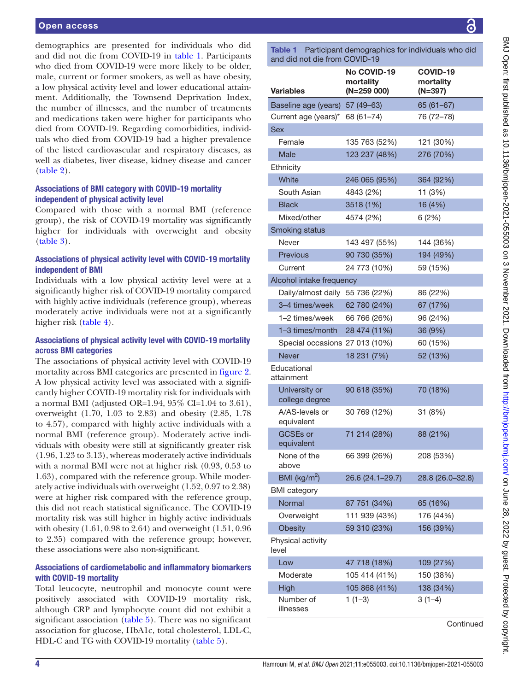demographics are presented for individuals who did and did not die from COVID-19 in [table](#page-3-0) 1. Participants who died from COVID-19 were more likely to be older, male, current or former smokers, as well as have obesity, a low physical activity level and lower educational attainment. Additionally, the Townsend Deprivation Index, the number of illnesses, and the number of treatments and medications taken were higher for participants who died from COVID-19. Regarding comorbidities, individuals who died from COVID-19 had a higher prevalence of the listed cardiovascular and respiratory diseases, as well as diabetes, liver disease, kidney disease and cancer ([table](#page-4-0) 2).

# Associations of BMI category with COVID-19 mortality independent of physical activity level

Compared with those with a normal BMI (reference group), the risk of COVID-19 mortality was significantly higher for individuals with overweight and obesity ([table](#page-4-1) 3).

#### Associations of physical activity level with COVID-19 mortality independent of BMI

Individuals with a low physical activity level were at a significantly higher risk of COVID-19 mortality compared with highly active individuals (reference group), whereas moderately active individuals were not at a significantly higher risk ([table](#page-4-2) 4).

## Associations of physical activity level with COVID-19 mortality across BMI categories

The associations of physical activity level with COVID-19 mortality across BMI categories are presented in [figure](#page-5-0) 2. A low physical activity level was associated with a significantly higher COVID-19 mortality risk for individuals with a normal BMI (adjusted OR=1.94,  $95\%$  CI=1.04 to 3.61), overweight (1.70, 1.03 to 2.83) and obesity (2.85, 1.78 to 4.57), compared with highly active individuals with a normal BMI (reference group). Moderately active individuals with obesity were still at significantly greater risk (1.96, 1.23 to 3.13), whereas moderately active individuals with a normal BMI were not at higher risk (0.93, 0.53 to 1.63), compared with the reference group. While moderately active individuals with overweight (1.52, 0.97 to 2.38) were at higher risk compared with the reference group, this did not reach statistical significance. The COVID-19 mortality risk was still higher in highly active individuals with obesity (1.61, 0.98 to 2.64) and overweight (1.51, 0.96 to 2.35) compared with the reference group; however, these associations were also non-significant.

# Associations of cardiometabolic and inflammatory biomarkers with COVID-19 mortality

Total leucocyte, neutrophil and monocyte count were positively associated with COVID-19 mortality risk, although CRP and lymphocyte count did not exhibit a significant association ([table](#page-5-1) 5). There was no significant association for glucose, HbA1c, total cholesterol, LDL-C, HDL-C and TG with COVID-19 mortality ([table](#page-5-1) 5).

<span id="page-3-0"></span>Table 1 Participant demographics for individuals who did and did not die from COVID-19

| Variables                       | No COVID-19<br>mortality<br>$(N=259 000)$ | COVID-19<br>mortality<br>$(N=397)$ |
|---------------------------------|-------------------------------------------|------------------------------------|
| Baseline age (years) 57 (49-63) |                                           | $65(61-67)$                        |
| Current age (years)*            | 68 (61-74)                                | 76 (72-78)                         |
| <b>Sex</b>                      |                                           |                                    |
| Female                          | 135 763 (52%)                             | 121 (30%)                          |
| Male                            | 123 237 (48%)                             | 276 (70%)                          |
| Ethnicity                       |                                           |                                    |
| White                           | 246 065 (95%)                             | 364 (92%)                          |
| South Asian                     | 4843 (2%)                                 | 11 (3%)                            |
| <b>Black</b>                    | 3518 (1%)                                 | 16 (4%)                            |
| Mixed/other                     | 4574 (2%)                                 | 6(2%)                              |
| <b>Smoking status</b>           |                                           |                                    |
| Never                           | 143 497 (55%)                             | 144 (36%)                          |
| Previous                        | 90 730 (35%)                              | 194 (49%)                          |
| Current                         | 24 773 (10%)                              | 59 (15%)                           |
| Alcohol intake frequency        |                                           |                                    |
| Daily/almost daily 55 736 (22%) |                                           | 86 (22%)                           |
| 3-4 times/week 62 780 (24%)     |                                           | 67 (17%)                           |
| 1-2 times/week 66 766 (26%)     |                                           | 96 (24%)                           |
| 1-3 times/month                 | 28 474 (11%)                              | 36 (9%)                            |
| Special occasions 27 013 (10%)  |                                           | 60 (15%)                           |
| Never                           | 18 231 (7%)                               | 52 (13%)                           |
| Educational<br>attainment       |                                           |                                    |
| University or<br>college degree | 90 618 (35%)                              | 70 (18%)                           |
| A/AS-levels or<br>equivalent    | 30 769 (12%)                              | 31 (8%)                            |
| <b>GCSEs or</b><br>equivalent   | 71 214 (28%)                              | 88 (21%)                           |
| None of the<br>above            | 66 399 (26%)                              | 208 (53%)                          |
| BMI ( $\text{kg/m}^2$ )         | 26.6 (24.1-29.7)                          | 28.8 (26.0-32.8)                   |
| <b>BMI</b> category             |                                           |                                    |
| Normal                          | 87 751 (34%)                              | 65 (16%)                           |
| Overweight                      | 111 939 (43%)                             | 176 (44%)                          |
| <b>Obesity</b>                  | 59 310 (23%)                              | 156 (39%)                          |
| Physical activity<br>level      |                                           |                                    |
| Low                             | 47 718 (18%)                              | 109 (27%)                          |
| Moderate                        | 105 414 (41%)                             | 150 (38%)                          |
| High                            | 105 868 (41%)                             | 138 (34%)                          |
| Number of<br>illnesses          | $1(1-3)$                                  | $3(1-4)$                           |
|                                 |                                           | Continued                          |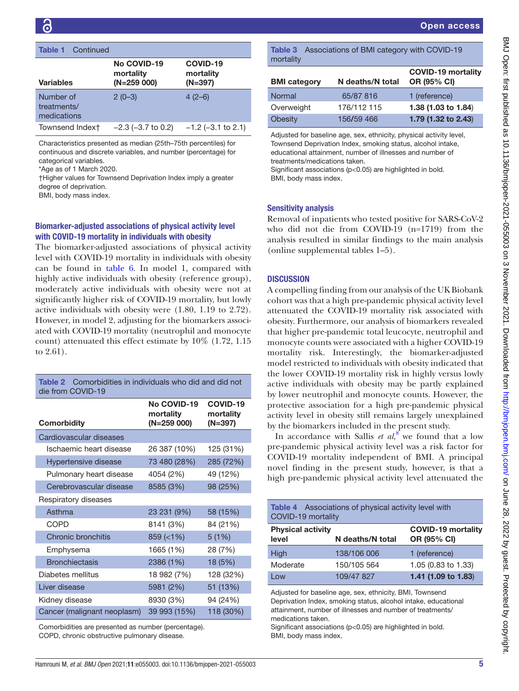| <b>Table 1</b> Continued                |                                          |                                    |
|-----------------------------------------|------------------------------------------|------------------------------------|
| <b>Variables</b>                        | No COVID-19<br>mortality<br>$(N=259000)$ | COVID-19<br>mortality<br>$(N=397)$ |
| Number of<br>treatments/<br>medications | $2(0-3)$                                 | $4(2-6)$                           |
| Townsend Indext                         | $-2.3$ ( $-3.7$ to 0.2)                  | $-1.2$ (-3.1 to 2.1)               |

Characteristics presented as median (25th–75th percentiles) for continuous and discrete variables, and number (percentage) for categorical variables.

\*Age as of 1 March 2020.

†Higher values for Townsend Deprivation Index imply a greater degree of deprivation.

BMI, body mass index.

# Biomarker-adjusted associations of physical activity level with COVID-19 mortality in individuals with obesity

The biomarker-adjusted associations of physical activity level with COVID-19 mortality in individuals with obesity can be found in [table](#page-6-0) 6. In model 1, compared with highly active individuals with obesity (reference group), moderately active individuals with obesity were not at significantly higher risk of COVID-19 mortality, but lowly active individuals with obesity were (1.80, 1.19 to 2.72). However, in model 2, adjusting for the biomarkers associated with COVID-19 mortality (neutrophil and monocyte count) attenuated this effect estimate by 10% (1.72, 1.15 to 2.61).

<span id="page-4-0"></span>

| Comorbidities in individuals who did and did not<br>Table 2<br>die from COVID-19 |                                           |                                  |  |
|----------------------------------------------------------------------------------|-------------------------------------------|----------------------------------|--|
| Comorbidity                                                                      | No COVID-19<br>mortality<br>$(N=259 000)$ | COVID-19<br>mortality<br>(N=397) |  |
| Cardiovascular diseases                                                          |                                           |                                  |  |
| Ischaemic heart disease                                                          | 26 387 (10%)                              | 125 (31%)                        |  |
| Hypertensive disease                                                             | 73 480 (28%)                              | 285 (72%)                        |  |
| Pulmonary heart disease                                                          | 4054 (2%)                                 | 49 (12%)                         |  |
| Cerebrovascular disease                                                          | 8585 (3%)                                 | 98 (25%)                         |  |
| Respiratory diseases                                                             |                                           |                                  |  |
| Asthma                                                                           | 23 231 (9%)                               | 58 (15%)                         |  |
| COPD                                                                             | 8141 (3%)                                 | 84 (21%)                         |  |
| Chronic bronchitis                                                               | $859$ ( $<$ 1%)                           | 5(1%)                            |  |
| Emphysema                                                                        | 1665 (1%)                                 | 28 (7%)                          |  |
| <b>Bronchiectasis</b>                                                            | 2386 (1%)                                 | 18 (5%)                          |  |
| Diabetes mellitus                                                                | 18 982 (7%)                               | 128 (32%)                        |  |
| Liver disease                                                                    | 5981 (2%)                                 | 51 (13%)                         |  |
| Kidney disease                                                                   | 8930 (3%)                                 | 94 (24%)                         |  |
| Cancer (malignant neoplasm)                                                      | 39 993 (15%)                              | 118 (30%)                        |  |

Comorbidities are presented as number (percentage). COPD, chronic obstructive pulmonary disease.

<span id="page-4-1"></span>Table 3 Associations of BMI category with COVID-19

Adjusted for baseline age, sex, ethnicity, physical activity level, Townsend Deprivation Index, smoking status, alcohol intake, educational attainment, number of illnesses and number of treatments/medications taken.

Significant associations (p<0.05) are highlighted in bold. BMI, body mass index.

#### Sensitivity analysis

Removal of inpatients who tested positive for SARS-CoV-2 who did not die from COVID-19 (n=1719) from the analysis resulted in similar findings to the main analysis [\(online supplemental tables 1–5\)](https://dx.doi.org/10.1136/bmjopen-2021-055003).

# **DISCUSSION**

A compelling finding from our analysis of the UK Biobank cohort was that a high pre-pandemic physical activity level attenuated the COVID-19 mortality risk associated with obesity. Furthermore, our analysis of biomarkers revealed that higher pre-pandemic total leucocyte, neutrophil and monocyte counts were associated with a higher COVID-19 mortality risk. Interestingly, the biomarker-adjusted model restricted to individuals with obesity indicated that the lower COVID-19 mortality risk in highly versus lowly active individuals with obesity may be partly explained by lower neutrophil and monocyte counts. However, the protective association for a high pre-pandemic physical activity level in obesity still remains largely unexplained by the biomarkers included in the present study.

In accordance with Sallis  $et \ al$ <sup>[8](#page-7-5)</sup> we found that a low pre-pandemic physical activity level was a risk factor for COVID-19 mortality independent of BMI. A principal novel finding in the present study, however, is that a high pre-pandemic physical activity level attenuated the

<span id="page-4-2"></span>

| <b>Table 4</b> Associations of physical activity level with<br>COVID-19 mortality |                  |                                          |  |
|-----------------------------------------------------------------------------------|------------------|------------------------------------------|--|
| <b>Physical activity</b><br>level                                                 | N deaths/N total | <b>COVID-19 mortality</b><br>OR (95% CI) |  |
| High                                                                              | 138/106 006      | 1 (reference)                            |  |
| Moderate                                                                          | 150/105 564      | 1.05 (0.83 to 1.33)                      |  |
| l ow                                                                              | 109/47 827       | 1.41 (1.09 to 1.83)                      |  |

Adjusted for baseline age, sex, ethnicity, BMI, Townsend Deprivation Index, smoking status, alcohol intake, educational attainment, number of illnesses and number of treatments/ medications taken.

Significant associations (p<0.05) are highlighted in bold. BMI, body mass index.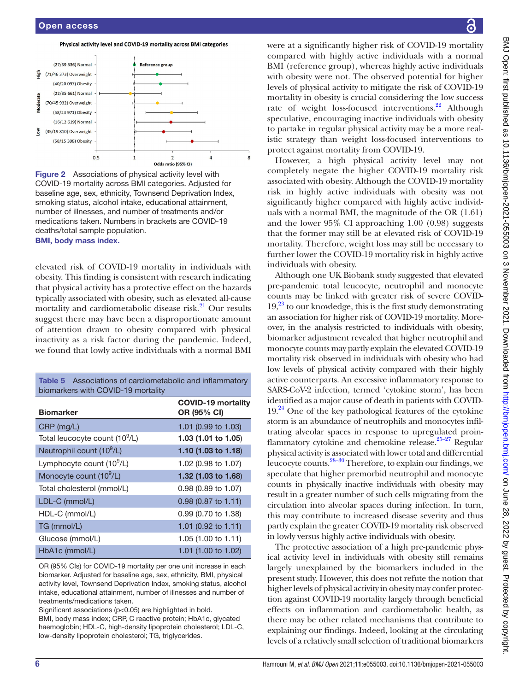



<span id="page-5-0"></span>Figure 2 Associations of physical activity level with COVID-19 mortality across BMI categories. Adjusted for baseline age, sex, ethnicity, Townsend Deprivation Index, smoking status, alcohol intake, educational attainment, number of illnesses, and number of treatments and/or medications taken. Numbers in brackets are COVID-19 deaths/total sample population. BMI, body mass index.

elevated risk of COVID-19 mortality in individuals with obesity. This finding is consistent with research indicating that physical activity has a protective effect on the hazards typically associated with obesity, such as elevated all-cause mortality and cardiometabolic disease risk.<sup>21</sup> Our results suggest there may have been a disproportionate amount of attention drawn to obesity compared with physical inactivity as a risk factor during the pandemic. Indeed, we found that lowly active individuals with a normal BMI

<span id="page-5-1"></span>

| <b>Table 5</b> Associations of cardiometabolic and inflammatory<br>biomarkers with COVID-19 mortality |                                          |  |  |
|-------------------------------------------------------------------------------------------------------|------------------------------------------|--|--|
| <b>Biomarker</b>                                                                                      | <b>COVID-19 mortality</b><br>OR (95% CI) |  |  |
| $CRP$ (mg/L)                                                                                          | 1.01 (0.99 to 1.03)                      |  |  |
| Total leucocyte count (10 <sup>9</sup> /L)                                                            | 1.03 (1.01 to 1.05)                      |  |  |
| Neutrophil count (10 <sup>9</sup> /L)                                                                 | 1.10 $(1.03 \text{ to } 1.18)$           |  |  |
| Lymphocyte count (10 <sup>9</sup> /L)                                                                 | 1.02 (0.98 to 1.07)                      |  |  |
| Monocyte count (10 <sup>9</sup> /L)                                                                   | 1.32 (1.03 to 1.68)                      |  |  |
| Total cholesterol (mmol/L)                                                                            | $0.98(0.89 \text{ to } 1.07)$            |  |  |
| LDL-C (mmol/L)                                                                                        | $0.98$ (0.87 to 1.11)                    |  |  |
| HDL-C (mmol/L)                                                                                        | 0.99 (0.70 to 1.38)                      |  |  |
| TG (mmol/L)                                                                                           | 1.01 (0.92 to 1.11)                      |  |  |
| Glucose (mmol/L)                                                                                      | 1.05 (1.00 to 1.11)                      |  |  |
| HbA1c (mmol/L)                                                                                        | 1.01 (1.00 to 1.02)                      |  |  |

OR (95% CIs) for COVID-19 mortality per one unit increase in each biomarker. Adjusted for baseline age, sex, ethnicity, BMI, physical activity level, Townsend Deprivation Index, smoking status, alcohol intake, educational attainment, number of illnesses and number of treatments/medications taken.

Significant associations (p<0.05) are highlighted in bold.

BMI, body mass index; CRP, C reactive protein; HbA1c, glycated haemoglobin; HDL-C, high-density lipoprotein cholesterol; LDL-C, low-density lipoprotein cholesterol; TG, triglycerides.

were at a significantly higher risk of COVID-19 mortality compared with highly active individuals with a normal BMI (reference group), whereas highly active individuals with obesity were not. The observed potential for higher levels of physical activity to mitigate the risk of COVID-19 mortality in obesity is crucial considering the low success rate of weight loss-focused interventions.<sup>22</sup> Although speculative, encouraging inactive individuals with obesity to partake in regular physical activity may be a more realistic strategy than weight loss-focused interventions to protect against mortality from COVID-19.

However, a high physical activity level may not completely negate the higher COVID-19 mortality risk associated with obesity. Although the COVID-19 mortality risk in highly active individuals with obesity was not significantly higher compared with highly active individuals with a normal BMI, the magnitude of the OR (1.61) and the lower 95% CI approaching 1.00 (0.98) suggests that the former may still be at elevated risk of COVID-19 mortality. Therefore, weight loss may still be necessary to further lower the COVID-19 mortality risk in highly active individuals with obesity.

Although one UK Biobank study suggested that elevated pre-pandemic total leucocyte, neutrophil and monocyte counts may be linked with greater risk of severe COVID- $19<sup>23</sup>$  to our knowledge, this is the first study demonstrating an association for higher risk of COVID-19 mortality. Moreover, in the analysis restricted to individuals with obesity, biomarker adjustment revealed that higher neutrophil and monocyte counts may partly explain the elevated COVID-19 mortality risk observed in individuals with obesity who had low levels of physical activity compared with their highly active counterparts. An excessive inflammatory response to SARS-CoV-2 infection, termed 'cytokine storm', has been identified as a major cause of death in patients with COVID- $19<sup>24</sup>$  One of the key pathological features of the cytokine storm is an abundance of neutrophils and monocytes infiltrating alveolar spaces in response to upregulated proinflammatory cytokine and chemokine release. $25-27$  Regular physical activity is associated with lower total and differential leucocyte counts.[28–30](#page-7-20) Therefore, to explain our findings, we speculate that higher premorbid neutrophil and monocyte counts in physically inactive individuals with obesity may result in a greater number of such cells migrating from the circulation into alveolar spaces during infection. In turn, this may contribute to increased disease severity and thus partly explain the greater COVID-19 mortality risk observed in lowly versus highly active individuals with obesity.

The protective association of a high pre-pandemic physical activity level in individuals with obesity still remains largely unexplained by the biomarkers included in the present study. However, this does not refute the notion that higher levels of physical activity in obesity may confer protection against COVID-19 mortality largely through beneficial effects on inflammation and cardiometabolic health, as there may be other related mechanisms that contribute to explaining our findings. Indeed, looking at the circulating levels of a relatively small selection of traditional biomarkers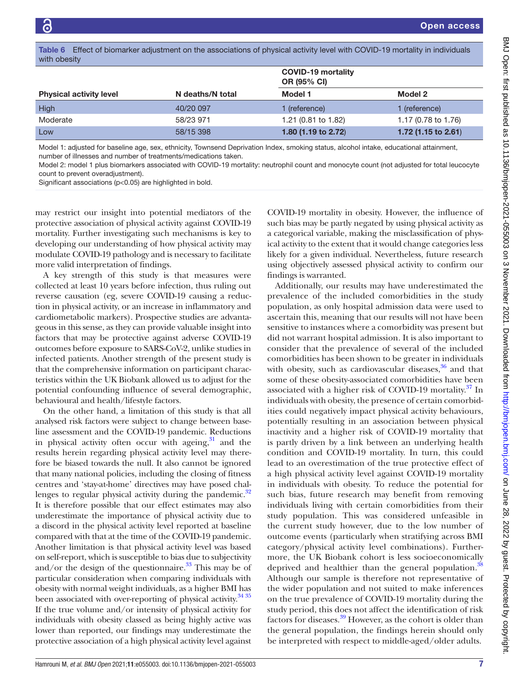<span id="page-6-0"></span>

|              | Table 6 Effect of biomarker adjustment on the associations of physical activity level with COVID-19 mortality in individuals |  |  |
|--------------|------------------------------------------------------------------------------------------------------------------------------|--|--|
| with obesity |                                                                                                                              |  |  |

|                                |                  | <b>COVID-19 mortality</b><br><b>OR (95% CI)</b> |                                |
|--------------------------------|------------------|-------------------------------------------------|--------------------------------|
| <b>Physical activity level</b> | N deaths/N total | Model 1                                         | Model 2                        |
| High                           | 40/20 097        | 1 (reference)                                   | 1 (reference)                  |
| Moderate                       | 58/23 971        | 1.21 (0.81 to 1.82)                             | 1.17 (0.78 to 1.76)            |
| Low                            | 58/15 398        | 1.80 (1.19 to 2.72)                             | 1.72 $(1.15 \text{ to } 2.61)$ |

Model 1: adjusted for baseline age, sex, ethnicity, Townsend Deprivation Index, smoking status, alcohol intake, educational attainment, number of illnesses and number of treatments/medications taken.

Model 2: model 1 plus biomarkers associated with COVID-19 mortality: neutrophil count and monocyte count (not adjusted for total leucocyte count to prevent overadjustment).

Significant associations (p<0.05) are highlighted in bold.

may restrict our insight into potential mediators of the protective association of physical activity against COVID-19 mortality. Further investigating such mechanisms is key to developing our understanding of how physical activity may modulate COVID-19 pathology and is necessary to facilitate more valid interpretation of findings.

A key strength of this study is that measures were collected at least 10 years before infection, thus ruling out reverse causation (eg, severe COVID-19 causing a reduction in physical activity, or an increase in inflammatory and cardiometabolic markers). Prospective studies are advantageous in this sense, as they can provide valuable insight into factors that may be protective against adverse COVID-19 outcomes before exposure to SARS-CoV-2, unlike studies in infected patients. Another strength of the present study is that the comprehensive information on participant characteristics within the UK Biobank allowed us to adjust for the potential confounding influence of several demographic, behavioural and health/lifestyle factors.

On the other hand, a limitation of this study is that all analysed risk factors were subject to change between baseline assessment and the COVID-19 pandemic. Reductions in physical activity often occur with ageing, $31$  and the results herein regarding physical activity level may therefore be biased towards the null. It also cannot be ignored that many national policies, including the closing of fitness centres and 'stay-at-home' directives may have posed challenges to regular physical activity during the pandemic. $32$ It is therefore possible that our effect estimates may also underestimate the importance of physical activity due to a discord in the physical activity level reported at baseline compared with that at the time of the COVID-19 pandemic. Another limitation is that physical activity level was based on self-report, which is susceptible to bias due to subjectivity and/or the design of the questionnaire. $33$  This may be of particular consideration when comparing individuals with obesity with normal weight individuals, as a higher BMI has been associated with over-reporting of physical activity.<sup>[34 35](#page-8-3)</sup> If the true volume and/or intensity of physical activity for individuals with obesity classed as being highly active was lower than reported, our findings may underestimate the protective association of a high physical activity level against

COVID-19 mortality in obesity. However, the influence of such bias may be partly negated by using physical activity as a categorical variable, making the misclassification of physical activity to the extent that it would change categories less likely for a given individual. Nevertheless, future research using objectively assessed physical activity to confirm our findings is warranted.

Additionally, our results may have underestimated the prevalence of the included comorbidities in the study population, as only hospital admission data were used to ascertain this, meaning that our results will not have been sensitive to instances where a comorbidity was present but did not warrant hospital admission. It is also important to consider that the prevalence of several of the included comorbidities has been shown to be greater in individuals with obesity, such as cardiovascular diseases, $36$  and that some of these obesity-associated comorbidities have been associated with a higher risk of COVID-19 mortality.<sup>[37](#page-8-5)</sup> In individuals with obesity, the presence of certain comorbidities could negatively impact physical activity behaviours, potentially resulting in an association between physical inactivity and a higher risk of COVID-19 mortality that is partly driven by a link between an underlying health condition and COVID-19 mortality. In turn, this could lead to an overestimation of the true protective effect of a high physical activity level against COVID-19 mortality in individuals with obesity. To reduce the potential for such bias, future research may benefit from removing individuals living with certain comorbidities from their study population. This was considered unfeasible in the current study however, due to the low number of outcome events (particularly when stratifying across BMI category/physical activity level combinations). Furthermore, the UK Biobank cohort is less socioeconomically deprived and healthier than the general population.<sup>[38](#page-8-6)</sup> Although our sample is therefore not representative of the wider population and not suited to make inferences on the true prevalence of COVID-19 mortality during the study period, this does not affect the identification of risk factors for diseases.<sup>39</sup> However, as the cohort is older than the general population, the findings herein should only be interpreted with respect to middle-aged/older adults.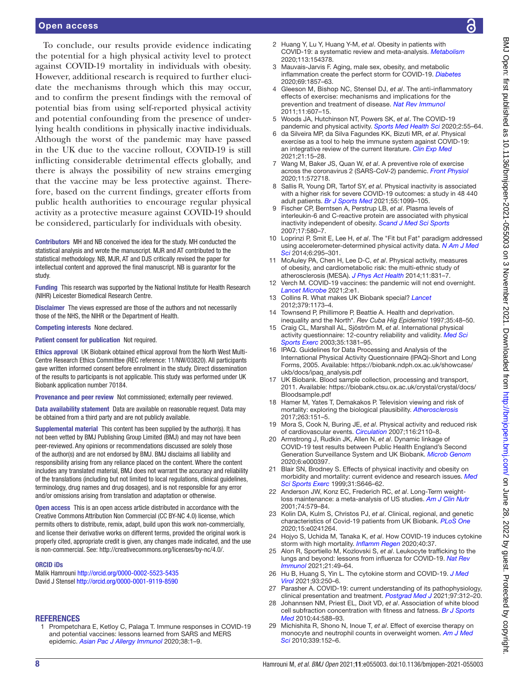#### Open access

To conclude, our results provide evidence indicating the potential for a high physical activity level to protect against COVID-19 mortality in individuals with obesity. However, additional research is required to further elucidate the mechanisms through which this may occur, and to confirm the present findings with the removal of potential bias from using self-reported physical activity and potential confounding from the presence of underlying health conditions in physically inactive individuals. Although the worst of the pandemic may have passed in the UK due to the vaccine rollout, COVID-19 is still inflicting considerable detrimental effects globally, and there is always the possibility of new strains emerging that the vaccine may be less protective against. Therefore, based on the current findings, greater efforts from public health authorities to encourage regular physical activity as a protective measure against COVID-19 should be considered, particularly for individuals with obesity.

Contributors MH and NB conceived the idea for the study. MH conducted the statistical analysis and wrote the manuscript. MJR and AT contributed to the statistical methodology. NB, MJR, AT and DJS critically revised the paper for intellectual content and approved the final manuscript. NB is guarantor for the study.

Funding This research was supported by the National Institute for Health Research (NIHR) Leicester Biomedical Research Centre.

Disclaimer The views expressed are those of the authors and not necessarily those of the NHS, the NIHR or the Department of Health.

Competing interests None declared.

Patient consent for publication Not required.

Ethics approval UK Biobank obtained ethical approval from the North West Multi-Centre Research Ethics Committee (REC reference: 11/NW/03820). All participants gave written informed consent before enrolment in the study. Direct dissemination of the results to participants is not applicable. This study was performed under UK Biobank application number 70184.

Provenance and peer review Not commissioned; externally peer reviewed.

Data availability statement Data are available on reasonable request. Data may be obtained from a third party and are not publicly available.

Supplemental material This content has been supplied by the author(s). It has not been vetted by BMJ Publishing Group Limited (BMJ) and may not have been peer-reviewed. Any opinions or recommendations discussed are solely those of the author(s) and are not endorsed by BMJ. BMJ disclaims all liability and responsibility arising from any reliance placed on the content. Where the content includes any translated material, BMJ does not warrant the accuracy and reliability of the translations (including but not limited to local regulations, clinical guidelines, terminology, drug names and drug dosages), and is not responsible for any error and/or omissions arising from translation and adaptation or otherwise.

Open access This is an open access article distributed in accordance with the Creative Commons Attribution Non Commercial (CC BY-NC 4.0) license, which permits others to distribute, remix, adapt, build upon this work non-commercially, and license their derivative works on different terms, provided the original work is properly cited, appropriate credit is given, any changes made indicated, and the use is non-commercial. See: [http://creativecommons.org/licenses/by-nc/4.0/.](http://creativecommons.org/licenses/by-nc/4.0/)

#### ORCID iDs

Malik Hamrouni <http://orcid.org/0000-0002-5523-5435> David J Stensel<http://orcid.org/0000-0001-9119-8590>

#### **REFERENCES**

<span id="page-7-0"></span>1 Prompetchara E, Ketloy C, Palaga T. Immune responses in COVID-19 and potential vaccines: lessons learned from SARS and MERS epidemic. *[Asian Pac J Allergy Immunol](http://dx.doi.org/10.12932/AP-200220-0772)* 2020;38:1–9.

- <span id="page-7-1"></span>2 Huang Y, Lu Y, Huang Y-M, *et al*. Obesity in patients with COVID-19: a systematic review and meta-analysis. *[Metabolism](http://dx.doi.org/10.1016/j.metabol.2020.154378)* 2020;113:154378.
- <span id="page-7-2"></span>3 Mauvais-Jarvis F. Aging, male sex, obesity, and metabolic inflammation create the perfect storm for COVID-19. *[Diabetes](http://dx.doi.org/10.2337/dbi19-0023)* 2020;69:1857–63.
- <span id="page-7-3"></span>4 Gleeson M, Bishop NC, Stensel DJ, *et al*. The anti-inflammatory effects of exercise: mechanisms and implications for the prevention and treatment of disease. *[Nat Rev Immunol](http://dx.doi.org/10.1038/nri3041)* 2011;11:607–15.
- 5 Woods JA, Hutchinson NT, Powers SK, *et al*. The COVID-19 pandemic and physical activity. *[Sports Med Health Sci](http://dx.doi.org/10.1016/j.smhs.2020.05.006)* 2020;2:55–64.
- <span id="page-7-4"></span>6 da Silveira MP, da Silva Fagundes KK, Bizuti MR, *et al*. Physical exercise as a tool to help the immune system against COVID-19: an integrative review of the current literature. *[Clin Exp Med](http://dx.doi.org/10.1007/s10238-020-00650-3)* 2021;21:15–28.
- 7 Wang M, Baker JS, Quan W, *et al*. A preventive role of exercise across the coronavirus 2 (SARS-CoV-2) pandemic. *[Front Physiol](http://dx.doi.org/10.3389/fphys.2020.572718)* 2020;11:572718.
- <span id="page-7-5"></span>8 Sallis R, Young DR, Tartof SY, *et al*. Physical inactivity is associated with a higher risk for severe COVID-19 outcomes: a study in 48 440 adult patients. *[Br J Sports Med](http://dx.doi.org/10.1136/bjsports-2021-104080)* 2021;55:1099–105.
- <span id="page-7-6"></span>9 Fischer CP, Berntsen A, Perstrup LB, *et al*. Plasma levels of interleukin-6 and C-reactive protein are associated with physical inactivity independent of obesity. *[Scand J Med Sci Sports](http://dx.doi.org/10.1111/j.1600-0838.2006.00602.x)* 2007;17:580–7.
- 10 Loprinzi P, Smit E, Lee H, *et al*. The "Fit but Fat" paradigm addressed using accelerometer-determined physical activity data. *[N Am J Med](http://dx.doi.org/10.4103/1947-2714.136901)  [Sci](http://dx.doi.org/10.4103/1947-2714.136901)* 2014;6:295–301.
- 11 McAuley PA, Chen H, Lee D-C, *et al*. Physical activity, measures of obesity, and cardiometabolic risk: the multi-ethnic study of atherosclerosis (MESA). *[J Phys Act Health](http://dx.doi.org/10.1123/jpah.2012-0068a)* 2014;11:831–7.
- <span id="page-7-7"></span>12 Verch M. COVID-19 vaccines: the pandemic will not end overnight. *[Lancet Microbe](http://dx.doi.org/10.1016/S2666-5247(20)30226-3)* 2021;2:e1.
- <span id="page-7-8"></span>13 Collins R. What makes UK Biobank special? *[Lancet](http://dx.doi.org/10.1016/S0140-6736(12)60404-8)* 2012;379:1173–4.
- <span id="page-7-9"></span>14 Townsend P, Phillimore P, Beattie A. Health and deprivation. inequality and the North\*. *Rev Cuba Hig Epidemiol* 1997;35:48–50.
- <span id="page-7-10"></span>15 Craig CL, Marshall AL, Sjöström M, *et al*. International physical activity questionnaire: 12-country reliability and validity. *[Med Sci](http://dx.doi.org/10.1249/01.MSS.0000078924.61453.FB)  [Sports Exerc](http://dx.doi.org/10.1249/01.MSS.0000078924.61453.FB)* 2003;35:1381–95.
- <span id="page-7-11"></span>16 IPAQ. Guidelines for Data Processing and Analysis of the International Physical Activity Questionnaire (IPAQ)-Short and Long Forms, 2005. Available: [https://biobank.ndph.ox.ac.uk/showcase/](https://biobank.ndph.ox.ac.uk/showcase/ukb/docs/ipaq_analysis.pdf) [ukb/docs/ipaq\\_analysis.pdf](https://biobank.ndph.ox.ac.uk/showcase/ukb/docs/ipaq_analysis.pdf)
- <span id="page-7-12"></span>17 UK Biobank. Blood sample collection, processing and transport, 2011. Available: [https://biobank.ctsu.ox.ac.uk/crystal/crystal/docs/](https://biobank.ctsu.ox.ac.uk/crystal/crystal/docs/Bloodsample.pdf) [Bloodsample.pdf](https://biobank.ctsu.ox.ac.uk/crystal/crystal/docs/Bloodsample.pdf)
- <span id="page-7-13"></span>18 Hamer M, Yates T, Demakakos P. Television viewing and risk of mortality: exploring the biological plausibility. *[Atherosclerosis](http://dx.doi.org/10.1016/j.atherosclerosis.2017.06.024)* 2017;263:151–5.
- 19 Mora S, Cook N, Buring JE, *et al*. Physical activity and reduced risk of cardiovascular events. *[Circulation](http://dx.doi.org/10.1161/CIRCULATIONAHA.107.729939)* 2007;116:2110–8.
- <span id="page-7-14"></span>20 Armstrong J, Rudkin JK, Allen N, *et al*. Dynamic linkage of COVID-19 test results between Public Health England's Second Generation Surveillance System and UK Biobank. *[Microb Genom](http://dx.doi.org/10.1099/mgen.0.000397)* 2020;6:e000397.
- <span id="page-7-15"></span>21 Blair SN, Brodney S. Effects of physical inactivity and obesity on morbidity and mortality: current evidence and research issues. *[Med](http://dx.doi.org/10.1097/00005768-199911001-00025)  [Sci Sports Exerc](http://dx.doi.org/10.1097/00005768-199911001-00025)* 1999;31:S646–62.
- <span id="page-7-16"></span>22 Anderson JW, Konz EC, Frederich RC, *et al*. Long-Term weightloss maintenance: a meta-analysis of US studies. *[Am J Clin Nutr](http://dx.doi.org/10.1093/ajcn/74.5.579)* 2001;74:579–84.
- <span id="page-7-17"></span>23 Kolin DA, Kulm S, Christos PJ, *et al*. Clinical, regional, and genetic characteristics of Covid-19 patients from UK Biobank. *[PLoS One](http://dx.doi.org/10.1371/journal.pone.0241264)* 2020;15:e0241264.
- <span id="page-7-18"></span>24 Hojyo S, Uchida M, Tanaka K, *et al*. How COVID-19 induces cytokine storm with high mortality. *[Inflamm Regen](http://dx.doi.org/10.1186/s41232-020-00146-3)* 2020;40:37.
- <span id="page-7-19"></span>25 Alon R, Sportiello M, Kozlovski S, *et al*. Leukocyte trafficking to the lungs and beyond: lessons from influenza for COVID-19. *[Nat Rev](http://dx.doi.org/10.1038/s41577-020-00470-2)  [Immunol](http://dx.doi.org/10.1038/s41577-020-00470-2)* 2021;21:49–64.
- 26 Hu B, Huang S, Yin L. The cytokine storm and COVID-19. *[J Med](http://dx.doi.org/10.1002/jmv.26232)  [Virol](http://dx.doi.org/10.1002/jmv.26232)* 2021;93:250–6.
- 27 Parasher A. COVID-19: current understanding of its pathophysiology, clinical presentation and treatment. *[Postgrad Med J](http://dx.doi.org/10.1136/postgradmedj-2020-138577)* 2021;97:312–20.
- <span id="page-7-20"></span>28 Johannsen NM, Priest EL, Dixit VD, *et al*. Association of white blood cell subfraction concentration with fitness and fatness. *[Br J Sports](http://dx.doi.org/10.1136/bjsm.2008.050682)  [Med](http://dx.doi.org/10.1136/bjsm.2008.050682)* 2010;44:588–93.
- 29 Michishita R, Shono N, Inoue T, *et al*. Effect of exercise therapy on monocyte and neutrophil counts in overweight women. *[Am J Med](http://dx.doi.org/10.1097/MAJ.0b013e3181c6a980)  [Sci](http://dx.doi.org/10.1097/MAJ.0b013e3181c6a980)* 2010;339:152–6.